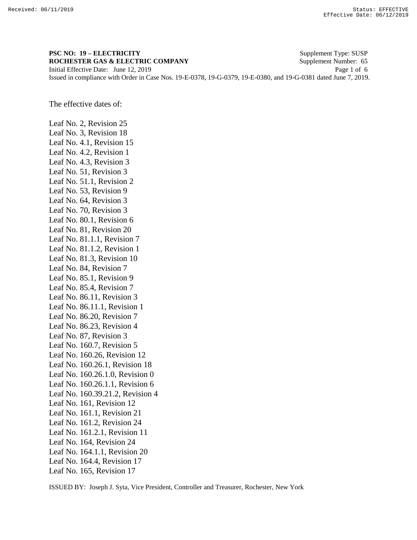## **PSC NO: 19 – ELECTRICITY** Supplement Type: SUSP **ROCHESTER GAS & ELECTRIC COMPANY** Supplement Number: 65 Initial Effective Date: June 12, 2019 Page 1 of 6

Issued in compliance with Order in Case Nos. 19-E-0378, 19-G-0379, 19-E-0380, and 19-G-0381 dated June 7, 2019.

The effective dates of:

Leaf No. 2, Revision 25 Leaf No. 3, Revision 18 Leaf No. 4.1, Revision 15 Leaf No. 4.2, Revision 1 Leaf No. 4.3, Revision 3 Leaf No. 51, Revision 3 Leaf No. 51.1, Revision 2 Leaf No. 53, Revision 9 Leaf No. 64, Revision 3 Leaf No. 70, Revision 3 Leaf No. 80.1, Revision 6 Leaf No. 81, Revision 20 Leaf No. 81.1.1, Revision 7 Leaf No. 81.1.2, Revision 1 Leaf No. 81.3, Revision 10 Leaf No. 84, Revision 7 Leaf No. 85.1, Revision 9 Leaf No. 85.4, Revision 7 Leaf No. 86.11, Revision 3 Leaf No. 86.11.1, Revision 1 Leaf No. 86.20, Revision 7 Leaf No. 86.23, Revision 4 Leaf No. 87, Revision 3 Leaf No. 160.7, Revision 5 Leaf No. 160.26, Revision 12 Leaf No. 160.26.1, Revision 18 Leaf No. 160.26.1.0, Revision 0 Leaf No. 160.26.1.1, Revision 6 Leaf No. 160.39.21.2, Revision 4 Leaf No. 161, Revision 12 Leaf No. 161.1, Revision 21 Leaf No. 161.2, Revision 24 Leaf No. 161.2.1, Revision 11 Leaf No. 164, Revision 24 Leaf No. 164.1.1, Revision 20 Leaf No. 164.4, Revision 17 Leaf No. 165, Revision 17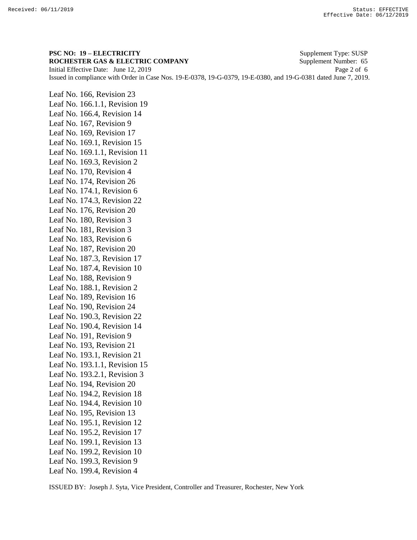**PSC NO: 19 – ELECTRICITY** Supplement Type: SUSP **ROCHESTER GAS & ELECTRIC COMPANY** Supplement Number: 65 Initial Effective Date: June 12, 2019 Page 2 of 6 Issued in compliance with Order in Case Nos. 19-E-0378, 19-G-0379, 19-E-0380, and 19-G-0381 dated June 7, 2019.

Leaf No. 166, Revision 23 Leaf No. 166.1.1, Revision 19 Leaf No. 166.4, Revision 14 Leaf No. 167, Revision 9 Leaf No. 169, Revision 17 Leaf No. 169.1, Revision 15 Leaf No. 169.1.1, Revision 11 Leaf No. 169.3, Revision 2 Leaf No. 170, Revision 4 Leaf No. 174, Revision 26 Leaf No. 174.1, Revision 6 Leaf No. 174.3, Revision 22 Leaf No. 176, Revision 20 Leaf No. 180, Revision 3 Leaf No. 181, Revision 3 Leaf No. 183, Revision 6 Leaf No. 187, Revision 20 Leaf No. 187.3, Revision 17 Leaf No. 187.4, Revision 10 Leaf No. 188, Revision 9 Leaf No. 188.1, Revision 2 Leaf No. 189, Revision 16 Leaf No. 190, Revision 24 Leaf No. 190.3, Revision 22 Leaf No. 190.4, Revision 14 Leaf No. 191, Revision 9 Leaf No. 193, Revision 21 Leaf No. 193.1, Revision 21 Leaf No. 193.1.1, Revision 15 Leaf No. 193.2.1, Revision 3 Leaf No. 194, Revision 20 Leaf No. 194.2, Revision 18 Leaf No. 194.4, Revision 10 Leaf No. 195, Revision 13 Leaf No. 195.1, Revision 12 Leaf No. 195.2, Revision 17 Leaf No. 199.1, Revision 13 Leaf No. 199.2, Revision 10 Leaf No. 199.3, Revision 9 Leaf No. 199.4, Revision 4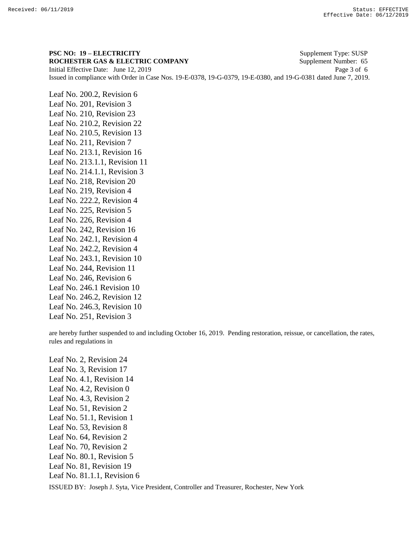**PSC NO: 19 – ELECTRICITY** Supplement Type: SUSP **ROCHESTER GAS & ELECTRIC COMPANY** Supplement Number: 65 Initial Effective Date: June 12, 2019 Page 3 of 6 Issued in compliance with Order in Case Nos. 19-E-0378, 19-G-0379, 19-E-0380, and 19-G-0381 dated June 7, 2019.

Leaf No. 200.2, Revision 6 Leaf No. 201, Revision 3 Leaf No. 210, Revision 23 Leaf No. 210.2, Revision 22 Leaf No. 210.5, Revision 13 Leaf No. 211, Revision 7 Leaf No. 213.1, Revision 16 Leaf No. 213.1.1, Revision 11 Leaf No. 214.1.1, Revision 3 Leaf No. 218, Revision 20 Leaf No. 219, Revision 4 Leaf No. 222.2, Revision 4 Leaf No. 225, Revision 5 Leaf No. 226, Revision 4 Leaf No. 242, Revision 16 Leaf No. 242.1, Revision 4 Leaf No. 242.2, Revision 4 Leaf No. 243.1, Revision 10 Leaf No. 244, Revision 11 Leaf No. 246, Revision 6 Leaf No. 246.1 Revision 10 Leaf No. 246.2, Revision 12 Leaf No. 246.3, Revision 10 Leaf No. 251, Revision 3

are hereby further suspended to and including October 16, 2019. Pending restoration, reissue, or cancellation, the rates, rules and regulations in

Leaf No. 2, Revision 24 Leaf No. 3, Revision 17 Leaf No. 4.1, Revision 14 Leaf No. 4.2, Revision 0 Leaf No. 4.3, Revision 2 Leaf No. 51, Revision 2 Leaf No. 51.1, Revision 1 Leaf No. 53, Revision 8 Leaf No. 64, Revision 2 Leaf No. 70, Revision 2 Leaf No. 80.1, Revision 5 Leaf No. 81, Revision 19 Leaf No. 81.1.1, Revision 6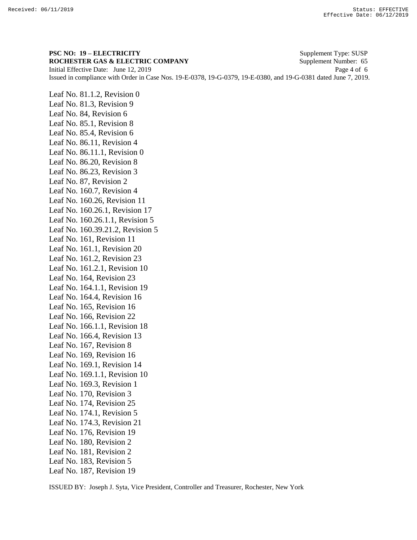**PSC NO: 19 – ELECTRICITY** Supplement Type: SUSP **ROCHESTER GAS & ELECTRIC COMPANY** Supplement Number: 65 Initial Effective Date: June 12, 2019 Page 4 of 6 Issued in compliance with Order in Case Nos. 19-E-0378, 19-G-0379, 19-E-0380, and 19-G-0381 dated June 7, 2019.

Leaf No. 81.1.2, Revision 0 Leaf No. 81.3, Revision 9 Leaf No. 84, Revision 6 Leaf No. 85.1, Revision 8 Leaf No. 85.4, Revision 6 Leaf No. 86.11, Revision 4 Leaf No. 86.11.1, Revision 0 Leaf No. 86.20, Revision 8 Leaf No. 86.23, Revision 3 Leaf No. 87, Revision 2 Leaf No. 160.7, Revision 4 Leaf No. 160.26, Revision 11 Leaf No. 160.26.1, Revision 17 Leaf No. 160.26.1.1, Revision 5 Leaf No. 160.39.21.2, Revision 5 Leaf No. 161, Revision 11 Leaf No. 161.1, Revision 20 Leaf No. 161.2, Revision 23 Leaf No. 161.2.1, Revision 10 Leaf No. 164, Revision 23 Leaf No. 164.1.1, Revision 19 Leaf No. 164.4, Revision 16 Leaf No. 165, Revision 16 Leaf No. 166, Revision 22 Leaf No. 166.1.1, Revision 18 Leaf No. 166.4, Revision 13 Leaf No. 167, Revision 8 Leaf No. 169, Revision 16 Leaf No. 169.1, Revision 14 Leaf No. 169.1.1, Revision 10 Leaf No. 169.3, Revision 1 Leaf No. 170, Revision 3 Leaf No. 174, Revision 25 Leaf No. 174.1, Revision 5 Leaf No. 174.3, Revision 21 Leaf No. 176, Revision 19 Leaf No. 180, Revision 2 Leaf No. 181, Revision 2 Leaf No. 183, Revision 5 Leaf No. 187, Revision 19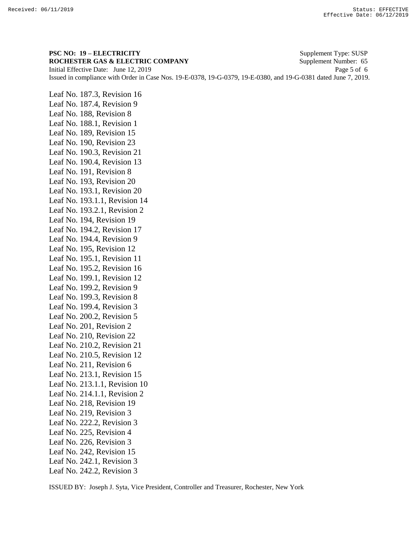**PSC NO: 19 – ELECTRICITY** Supplement Type: SUSP **ROCHESTER GAS & ELECTRIC COMPANY** Supplement Number: 65 Initial Effective Date: June 12, 2019 Page 5 of 6 Issued in compliance with Order in Case Nos. 19-E-0378, 19-G-0379, 19-E-0380, and 19-G-0381 dated June 7, 2019.

Leaf No. 187.3, Revision 16 Leaf No. 187.4, Revision 9 Leaf No. 188, Revision 8 Leaf No. 188.1, Revision 1 Leaf No. 189, Revision 15 Leaf No. 190, Revision 23 Leaf No. 190.3, Revision 21 Leaf No. 190.4, Revision 13 Leaf No. 191, Revision 8 Leaf No. 193, Revision 20 Leaf No. 193.1, Revision 20 Leaf No. 193.1.1, Revision 14 Leaf No. 193.2.1, Revision 2 Leaf No. 194, Revision 19 Leaf No. 194.2, Revision 17 Leaf No. 194.4, Revision 9 Leaf No. 195, Revision 12 Leaf No. 195.1, Revision 11 Leaf No. 195.2, Revision 16 Leaf No. 199.1, Revision 12 Leaf No. 199.2, Revision 9 Leaf No. 199.3, Revision 8 Leaf No. 199.4, Revision 3 Leaf No. 200.2, Revision 5 Leaf No. 201, Revision 2 Leaf No. 210, Revision 22 Leaf No. 210.2, Revision 21 Leaf No. 210.5, Revision 12 Leaf No. 211, Revision 6 Leaf No. 213.1, Revision 15 Leaf No. 213.1.1, Revision 10 Leaf No. 214.1.1, Revision 2 Leaf No. 218, Revision 19 Leaf No. 219, Revision 3 Leaf No. 222.2, Revision 3 Leaf No. 225, Revision 4 Leaf No. 226, Revision 3 Leaf No. 242, Revision 15 Leaf No. 242.1, Revision 3 Leaf No. 242.2, Revision 3